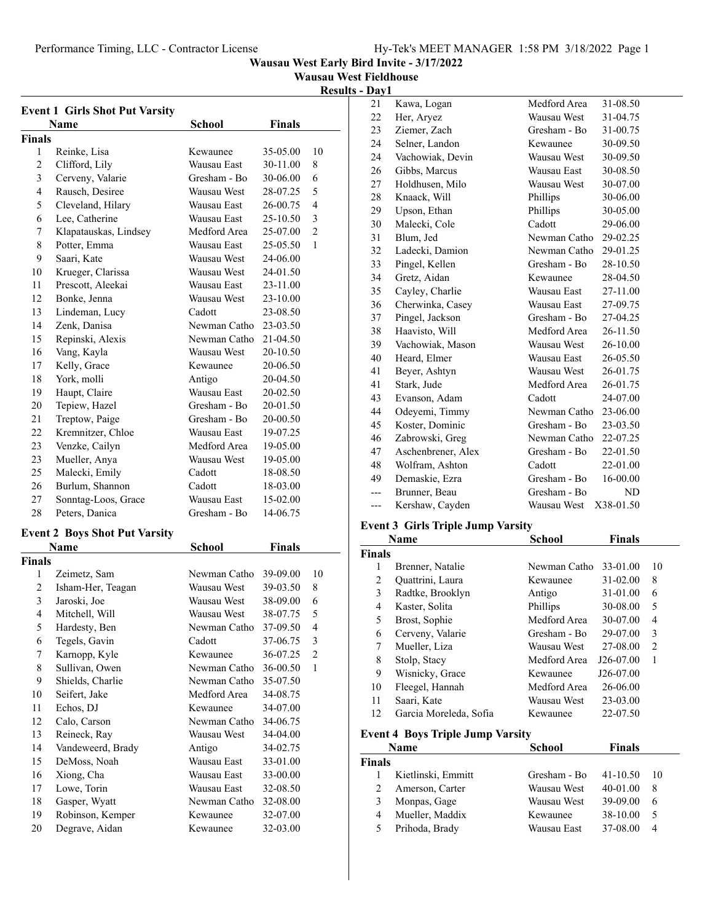**Wausau West Fieldhouse**

**Results - Day1**

|               | <b>Event 1 Girls Shot Put Varsity</b> |              |          |                |
|---------------|---------------------------------------|--------------|----------|----------------|
|               | Name                                  | School       | Finals   |                |
| Finals        |                                       |              |          |                |
| 1             | Reinke, Lisa                          | Kewaunee     | 35-05.00 | 10             |
| 2             | Clifford, Lily                        | Wausau East  | 30-11.00 | 8              |
| 3             | Cerveny, Valarie                      | Gresham - Bo | 30-06.00 | 6              |
| 4             | Rausch, Desiree                       | Wausau West  | 28-07.25 | 5              |
| 5             | Cleveland, Hilary                     | Wausau East  | 26-00.75 | 4              |
| 6             | Lee, Catherine                        | Wausau East  | 25-10.50 | 3              |
| 7             | Klapatauskas, Lindsey                 | Medford Area | 25-07.00 | $\overline{c}$ |
| 8             | Potter, Emma                          | Wausau East  | 25-05.50 | 1              |
| 9             | Saari, Kate                           | Wausau West  | 24-06.00 |                |
| 10            | Krueger, Clarissa                     | Wausau West  | 24-01.50 |                |
| 11            | Prescott, Aleekai                     | Wausau East  | 23-11.00 |                |
| 12            | Bonke, Jenna                          | Wausau West  | 23-10.00 |                |
| 13            | Lindeman, Lucy                        | Cadott       | 23-08.50 |                |
| 14            | Zenk, Danisa                          | Newman Catho | 23-03.50 |                |
| 15            | Repinski, Alexis                      | Newman Catho | 21-04.50 |                |
| 16            | Vang, Kayla                           | Wausau West  | 20-10.50 |                |
| 17            | Kelly, Grace                          | Kewaunee     | 20-06.50 |                |
| 18            | York, molli                           | Antigo       | 20-04.50 |                |
| 19            | Haupt, Claire                         | Wausau East  | 20-02.50 |                |
| 20            | Tepiew, Hazel                         | Gresham - Bo | 20-01.50 |                |
| 21            | Treptow, Paige                        | Gresham - Bo | 20-00.50 |                |
| 22            | Kremnitzer, Chloe                     | Wausau East  | 19-07.25 |                |
| 23            | Venzke, Cailyn                        | Medford Area | 19-05.00 |                |
| 23            | Mueller, Anya                         | Wausau West  | 19-05.00 |                |
| 25            | Malecki, Emily                        | Cadott       | 18-08.50 |                |
| 26            | Burlum, Shannon                       | Cadott       | 18-03.00 |                |
| 27            | Sonntag-Loos, Grace                   | Wausau East  | 15-02.00 |                |
| 28            | Peters, Danica                        | Gresham - Bo | 14-06.75 |                |
|               | <b>Event 2 Boys Shot Put Varsity</b>  |              |          |                |
|               | Name                                  | School       | Finals   |                |
| <b>Finals</b> |                                       |              |          |                |
| 1             | Zeimetz, Sam                          | Newman Catho | 39-09.00 | 10             |
| 2             | Isham-Her, Teagan                     | Wausau West  | 39-03.50 | 8              |
| 3             | Jaroski, Joe                          | Wausau West  | 38-09.00 | 6              |
| 4             | Mitchell, Will                        | Wausau West  | 38-07.75 | 5              |
| 5             | Hardesty, Ben                         | Newman Catho | 37-09.50 | 4              |
| 6             | Tegels, Gavin                         | Cadott       | 37-06.75 | 3              |
| 7             | Karnopp, Kyle                         | Kewaunee     | 36-07.25 | $\overline{c}$ |
| 8             | Sullivan, Owen                        | Newman Catho | 36-00.50 | 1              |
| 9             | Shields, Charlie                      | Newman Catho | 35-07.50 |                |
| 10            | Seifert, Jake                         | Medford Area | 34-08.75 |                |
| 11            | Echos, DJ                             | Kewaunee     | 34-07.00 |                |
| 12            | Calo, Carson                          | Newman Catho | 34-06.75 |                |
| 13            | Reineck, Ray                          | Wausau West  | 34-04.00 |                |
| 14            | Vandeweerd, Brady                     | Antigo       | 34-02.75 |                |
| 15            | DeMoss, Noah                          | Wausau East  | 33-01.00 |                |
| 16            | Xiong, Cha                            | Wausau East  | 33-00.00 |                |
| 17            | Lowe, Torin                           | Wausau East  | 32-08.50 |                |
| 18            | Gasper, Wyatt                         | Newman Catho | 32-08.00 |                |
| 19            | Robinson, Kemper                      | Kewaunee     | 32-07.00 |                |
| 20            | Degrave, Aidan                        | Kewaunee     | 32-03.00 |                |

| Kawa, Logan        | Medford Area | 31-08.50  |
|--------------------|--------------|-----------|
| Her, Aryez         | Wausau West  | 31-04.75  |
| Ziemer, Zach       | Gresham - Bo | 31-00.75  |
| Selner, Landon     | Kewaunee     | 30-09.50  |
| Vachowiak, Devin   | Wausau West  | 30-09.50  |
| Gibbs, Marcus      | Wausau East  | 30-08.50  |
| Holdhusen, Milo    | Wausau West  | 30-07.00  |
| Knaack, Will       | Phillips     | 30-06.00  |
| Upson, Ethan       | Phillips     | 30-05.00  |
| Malecki, Cole      | Cadott       | 29-06.00  |
| Blum, Jed          | Newman Catho | 29-02.25  |
| Ladecki, Damion    | Newman Catho | 29-01.25  |
| Pingel, Kellen     | Gresham - Bo | 28-10.50  |
| Gretz, Aidan       | Kewaunee     | 28-04.50  |
| Cayley, Charlie    | Wausau East  | 27-11.00  |
| Cherwinka, Casey   | Wausau East  | 27-09.75  |
| Pingel, Jackson    | Gresham - Bo | 27-04.25  |
| Haavisto, Will     | Medford Area | 26-11.50  |
| Vachowiak, Mason   | Wausau West  | 26-10.00  |
| Heard, Elmer       | Wausau East  | 26-05.50  |
| Beyer, Ashtyn      | Wausau West  | 26-01.75  |
| Stark, Jude        | Medford Area | 26-01.75  |
| Evanson, Adam      | Cadott       | 24-07.00  |
| Odeyemi, Timmy     | Newman Catho | 23-06.00  |
| Koster, Dominic    | Gresham - Bo | 23-03.50  |
| Zabrowski, Greg    | Newman Catho | 22-07.25  |
| Aschenbrener, Alex | Gresham - Bo | 22-01.50  |
| Wolfram, Ashton    | Cadott       | 22-01.00  |
| Demaskie, Ezra     | Gresham - Bo | 16-00.00  |
| Brunner, Beau      | Gresham - Bo | ND        |
| Kershaw, Cayden    | Wausau West  | X38-01.50 |
|                    |              |           |

## **Event 3 Girls Triple Jump Varsity**

|               | Name                   | School       | <b>Finals</b> |                |
|---------------|------------------------|--------------|---------------|----------------|
| <b>Finals</b> |                        |              |               |                |
| 1             | Brenner, Natalie       | Newman Catho | 33-01.00      | 10             |
| 2             | Quattrini, Laura       | Kewaunee     | $31 - 02.00$  | 8              |
| 3             | Radtke, Brooklyn       | Antigo       | 31-01.00      | 6              |
| 4             | Kaster, Solita         | Phillips     | 30-08.00      | 5              |
| 5             | Brost, Sophie          | Medford Area | 30-07.00      | 4              |
| 6             | Cerveny, Valarie       | Gresham - Bo | 29-07.00      | 3              |
| 7             | Mueller, Liza          | Wausau West  | 27-08.00      | $\mathfrak{D}$ |
| 8             | Stolp, Stacy           | Medford Area | J26-07.00     | 1              |
| 9             | Wisnicky, Grace        | Kewaunee     | J26-07.00     |                |
| 10            | Fleegel, Hannah        | Medford Area | 26-06.00      |                |
| 11            | Saari, Kate            | Wausau West  | 23-03.00      |                |
| 12            | Garcia Moreleda, Sofia | Kewaunee     | 22-07.50      |                |

#### **Event 4 Boys Triple Jump Varsity**

|               | Name               | <b>School</b> | <b>Finals</b> |     |
|---------------|--------------------|---------------|---------------|-----|
| <b>Finals</b> |                    |               |               |     |
|               | Kietlinski, Emmitt | Gresham - Bo  | 41-10.50      | -10 |
| 2             | Amerson, Carter    | Wausau West   | $40 - 01.00$  | 8   |
| 3             | Monpas, Gage       | Wausau West   | 39-09.00      | 6   |
| 4             | Mueller, Maddix    | Kewaunee      | 38-10.00      | 5   |
| 5             | Prihoda, Brady     | Wausau East   | 37-08.00      | 4   |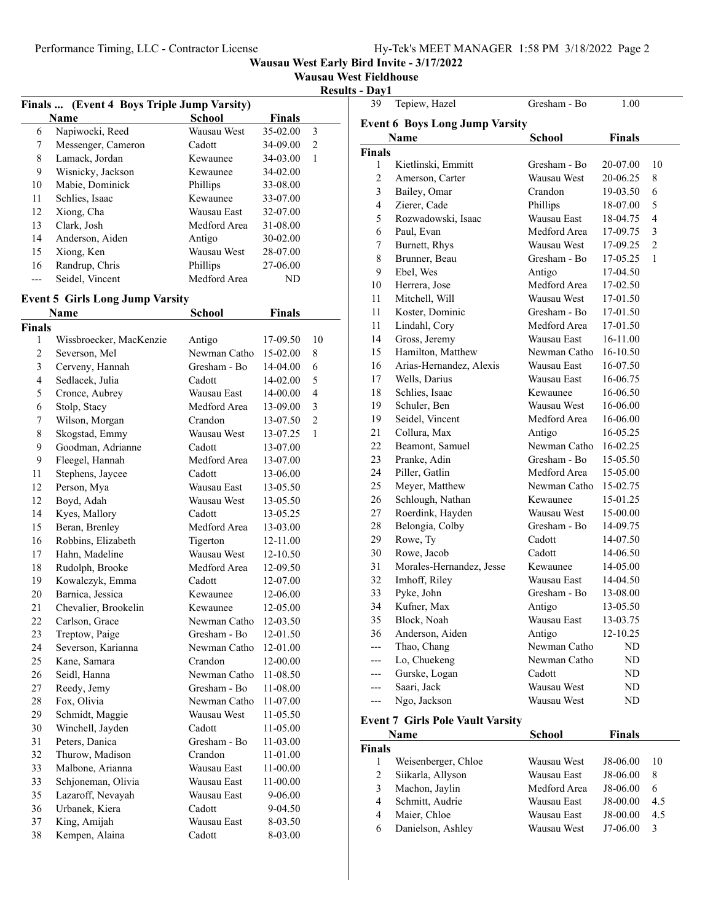**Wausau West Fieldhouse**

**Results - Day1**

| Finals  (Event 4 Boys Triple Jump Varsity) |                    |              |               |   |
|--------------------------------------------|--------------------|--------------|---------------|---|
|                                            | Name               | School       | <b>Finals</b> |   |
| 6                                          | Napiwocki, Reed    | Wausau West  | 35-02.00      | 3 |
| 7                                          | Messenger, Cameron | Cadott       | 34-09.00      | 2 |
| 8                                          | Lamack, Jordan     | Kewaunee     | 34-03.00      | 1 |
| 9                                          | Wisnicky, Jackson  | Kewaunee     | 34-02.00      |   |
| 10                                         | Mabie, Dominick    | Phillips     | 33-08.00      |   |
| 11                                         | Schlies, Isaac     | Kewaunee     | 33-07.00      |   |
| 12                                         | Xiong, Cha         | Wausau East  | 32-07.00      |   |
| 13                                         | Clark, Josh        | Medford Area | 31-08.00      |   |
| 14                                         | Anderson, Aiden    | Antigo       | 30-02.00      |   |
| 15                                         | Xiong, Ken         | Wausau West  | 28-07.00      |   |
| 16                                         | Randrup, Chris     | Phillips     | 27-06.00      |   |
|                                            | Seidel, Vincent    | Medford Area | ND            |   |

#### **Event 5 Girls Long Jump Varsity**

|                | Name                    | <b>School</b> | <b>Finals</b> |                |
|----------------|-------------------------|---------------|---------------|----------------|
| <b>Finals</b>  |                         |               |               |                |
| 1              | Wissbroecker, MacKenzie | Antigo        | 17-09.50      | 10             |
| $\overline{c}$ | Severson, Mel           | Newman Catho  | 15-02.00      | 8              |
| 3              | Cerveny, Hannah         | Gresham - Bo  | 14-04.00      | 6              |
| 4              | Sedlacek, Julia         | Cadott        | 14-02.00      | 5              |
| 5              | Cronce, Aubrey          | Wausau East   | 14-00.00      | $\overline{4}$ |
| 6              | Stolp, Stacy            | Medford Area  | 13-09.00      | 3              |
| 7              | Wilson, Morgan          | Crandon       | 13-07.50      | $\overline{2}$ |
| 8              | Skogstad, Emmy          | Wausau West   | 13-07.25      | 1              |
| 9              | Goodman, Adrianne       | Cadott        | 13-07.00      |                |
| 9              | Fleegel, Hannah         | Medford Area  | 13-07.00      |                |
| 11             | Stephens, Jaycee        | Cadott        | 13-06.00      |                |
| 12             | Person, Mya             | Wausau East   | 13-05.50      |                |
| 12             | Boyd, Adah              | Wausau West   | 13-05.50      |                |
| 14             | Kyes, Mallory           | Cadott        | 13-05.25      |                |
| 15             | Beran, Brenley          | Medford Area  | 13-03.00      |                |
| 16             | Robbins, Elizabeth      | Tigerton      | 12-11.00      |                |
| 17             | Hahn, Madeline          | Wausau West   | 12-10.50      |                |
| 18             | Rudolph, Brooke         | Medford Area  | 12-09.50      |                |
| 19             | Kowalczyk, Emma         | Cadott        | 12-07.00      |                |
| 20             | Barnica, Jessica        | Kewaunee      | 12-06.00      |                |
| 21             | Chevalier, Brookelin    | Kewaunee      | 12-05.00      |                |
| 22             | Carlson, Grace          | Newman Catho  | 12-03.50      |                |
| 23             | Treptow, Paige          | Gresham - Bo  | 12-01.50      |                |
| 24             | Severson, Karianna      | Newman Catho  | 12-01.00      |                |
| 25             | Kane, Samara            | Crandon       | 12-00.00      |                |
| 26             | Seidl, Hanna            | Newman Catho  | 11-08.50      |                |
| 27             | Reedy, Jemy             | Gresham - Bo  | 11-08.00      |                |
| 28             | Fox, Olivia             | Newman Catho  | 11-07.00      |                |
| 29             | Schmidt, Maggie         | Wausau West   | 11-05.50      |                |
| 30             | Winchell, Jayden        | Cadott        | 11-05.00      |                |
| 31             | Peters, Danica          | Gresham - Bo  | 11-03.00      |                |
| 32             | Thurow, Madison         | Crandon       | 11-01.00      |                |
| 33             | Malbone, Arianna        | Wausau East   | 11-00.00      |                |
| 33             | Schjoneman, Olivia      | Wausau East   | 11-00.00      |                |
| 35             | Lazaroff, Nevayah       | Wausau East   | 9-06.00       |                |
| 36             | Urbanek, Kiera          | Cadott        | 9-04.50       |                |
| 37             | King, Amijah            | Wausau East   | 8-03.50       |                |
| 38             | Kempen, Alaina          | Cadott        | 8-03.00       |                |
|                |                         |               |               |                |

| - Day1                   |                                       |              |          |                |  |  |
|--------------------------|---------------------------------------|--------------|----------|----------------|--|--|
| 39                       | Tepiew, Hazel                         | Gresham - Bo | 1.00     |                |  |  |
|                          | <b>Event 6 Boys Long Jump Varsity</b> |              |          |                |  |  |
| Name<br>School<br>Finals |                                       |              |          |                |  |  |
| <b>Finals</b>            |                                       |              |          |                |  |  |
| 1                        | Kietlinski, Emmitt                    | Gresham - Bo | 20-07.00 | 10             |  |  |
| $\overline{c}$           | Amerson, Carter                       | Wausau West  | 20-06.25 | 8              |  |  |
| 3                        | Bailey, Omar                          | Crandon      | 19-03.50 | 6              |  |  |
| 4                        | Zierer, Cade                          | Phillips     | 18-07.00 | 5              |  |  |
| 5                        | Rozwadowski, Isaac                    | Wausau East  | 18-04.75 | 4              |  |  |
| 6                        | Paul, Evan                            | Medford Area | 17-09.75 | 3              |  |  |
| 7                        | Burnett, Rhys                         | Wausau West  | 17-09.25 | $\overline{2}$ |  |  |
| 8                        | Brunner, Beau                         | Gresham - Bo | 17-05.25 | 1              |  |  |
| 9                        | Ebel, Wes                             | Antigo       | 17-04.50 |                |  |  |
| 10                       | Herrera, Jose                         | Medford Area | 17-02.50 |                |  |  |
| 11                       | Mitchell, Will                        | Wausau West  | 17-01.50 |                |  |  |
| 11                       | Koster, Dominic                       | Gresham - Bo | 17-01.50 |                |  |  |
| 11                       | Lindahl, Cory                         | Medford Area | 17-01.50 |                |  |  |
| 14                       | Gross, Jeremy                         | Wausau East  | 16-11.00 |                |  |  |
| 15                       | Hamilton, Matthew                     | Newman Catho | 16-10.50 |                |  |  |
| 16                       | Arias-Hernandez, Alexis               | Wausau East  | 16-07.50 |                |  |  |
| 17                       | Wells, Darius                         | Wausau East  | 16-06.75 |                |  |  |
| 18                       | Schlies, Isaac                        | Kewaunee     | 16-06.50 |                |  |  |
| 19                       | Schuler, Ben                          | Wausau West  | 16-06.00 |                |  |  |
| 19                       | Seidel, Vincent                       | Medford Area | 16-06.00 |                |  |  |
| 21                       | Collura, Max                          | Antigo       | 16-05.25 |                |  |  |
| 22                       | Beamont, Samuel                       | Newman Catho | 16-02.25 |                |  |  |
| 23                       | Pranke, Adin                          | Gresham - Bo | 15-05.50 |                |  |  |
| 24                       | Piller, Gatlin                        | Medford Area | 15-05.00 |                |  |  |
| 25                       | Meyer, Matthew                        | Newman Catho | 15-02.75 |                |  |  |
| 26                       | Schlough, Nathan                      | Kewaunee     | 15-01.25 |                |  |  |
| 27                       | Roerdink, Hayden                      | Wausau West  | 15-00.00 |                |  |  |
| 28                       | Belongia, Colby                       | Gresham - Bo | 14-09.75 |                |  |  |
| 29                       | Rowe, Ty                              | Cadott       | 14-07.50 |                |  |  |
| 30                       | Rowe, Jacob                           | Cadott       | 14-06.50 |                |  |  |
| 31                       | Morales-Hernandez, Jesse              | Kewaunee     | 14-05.00 |                |  |  |
| 32                       | Imhoff, Riley                         | Wausau East  | 14-04.50 |                |  |  |
| 33                       | Pyke, John                            | Gresham - Bo | 13-08.00 |                |  |  |
| 34                       | Kufner, Max                           | Antigo       | 13-05.50 |                |  |  |
| 35                       | Block, Noah                           | Wausau East  | 13-03.75 |                |  |  |
| 36                       | Anderson, Aiden                       | Antigo       | 12-10.25 |                |  |  |
|                          | Thao, Chang                           | Newman Catho | ND       |                |  |  |
|                          | Lo, Chuekeng                          | Newman Catho | ND       |                |  |  |
| ---                      | Gurske, Logan                         | Cadott       | ND       |                |  |  |
| ---                      | Saari, Jack                           | Wausau West  | ND       |                |  |  |
| ---                      | Ngo, Jackson                          | Wausau West  | ND       |                |  |  |

#### **Event 7 Girls Pole Vault Varsity**

|        | Name                | <b>School</b> | <b>Finals</b> |     |
|--------|---------------------|---------------|---------------|-----|
| Finals |                     |               |               |     |
|        | Weisenberger, Chloe | Wausau West   | J8-06.00      | 10  |
|        | Siikarla, Allyson   | Wausau East   | J8-06.00      | 8   |
|        | Machon, Jaylin      | Medford Area  | J8-06.00      | 6   |
| 4      | Schmitt, Audrie     | Wausau East   | J8-00.00      | 4.5 |
| 4      | Maier, Chloe        | Wausau East   | J8-00.00      | 4.5 |
| 6      | Danielson, Ashley   | Wausau West   | $J7-06.00$    | 3   |
|        |                     |               |               |     |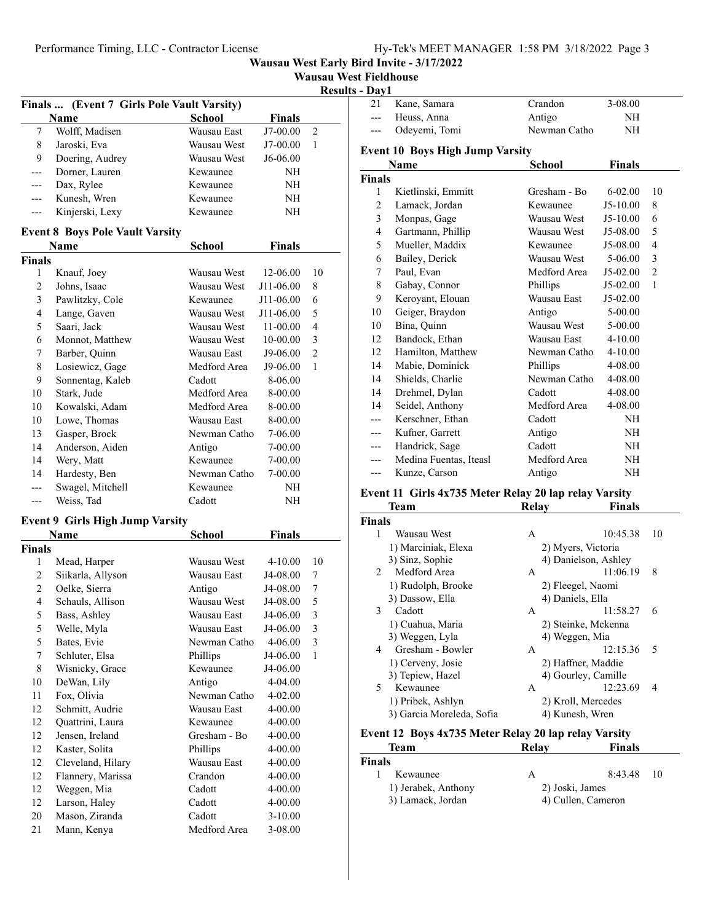#### Performance Timing, LLC - Contractor License

**Wausau West Early Bird Invite - 3/17/2022**

| <b>Wausau West Fieldhouse</b> |  |  |  |
|-------------------------------|--|--|--|
|-------------------------------|--|--|--|

**Results - Day1**

| Finals  (Event 7 Girls Pole Vault Varsity) |                                        |                             |                        |                |
|--------------------------------------------|----------------------------------------|-----------------------------|------------------------|----------------|
|                                            | Name                                   | <b>School</b>               | <b>Finals</b>          |                |
| 7                                          | Wolff, Madisen                         | Wausau East                 | J7-00.00               | 2              |
| 8                                          | Jaroski, Eva                           | Wausau West                 | J7-00.00               | 1              |
| 9                                          | Doering, Audrey                        | Wausau West                 | J6-06.00               |                |
| ---                                        | Dorner, Lauren                         | Kewaunee                    | NH                     |                |
| ---                                        | Dax, Rylee                             | Kewaunee                    | NH                     |                |
| ---                                        | Kunesh, Wren                           | Kewaunee                    | NΗ                     |                |
| ---                                        | Kinjerski, Lexy                        | Kewaunee                    | NH                     |                |
|                                            |                                        |                             |                        |                |
|                                            | <b>Event 8 Boys Pole Vault Varsity</b> |                             |                        |                |
|                                            | Name                                   | School                      | Finals                 |                |
| <b>Finals</b><br>1                         |                                        | Wausau West                 | 12-06.00               | 10             |
| 2                                          | Knauf, Joey                            | Wausau West                 | J11-06.00              | 8              |
|                                            | Johns, Isaac                           |                             |                        |                |
| 3<br>4                                     | Pawlitzky, Cole                        | Kewaunee                    | J11-06.00<br>J11-06.00 | 6<br>5         |
|                                            | Lange, Gaven                           | Wausau West<br>Wausau West  |                        |                |
| 5<br>6                                     | Saari, Jack<br>Monnot, Matthew         | Wausau West                 | 11-00.00<br>10-00.00   | 4<br>3         |
|                                            |                                        | Wausau East                 |                        | $\overline{2}$ |
| 7                                          | Barber, Quinn<br>Losiewicz, Gage       | Medford Area                | J9-06.00               | 1              |
| 8<br>9                                     | Sonnentag, Kaleb                       | Cadott                      | J9-06.00               |                |
|                                            | Stark, Jude                            | Medford Area                | 8-06.00                |                |
| 10                                         |                                        |                             | 8-00.00                |                |
| 10                                         | Kowalski, Adam                         | Medford Area                | 8-00.00                |                |
| 10                                         | Lowe, Thomas                           | Wausau East<br>Newman Catho | 8-00.00                |                |
| 13                                         | Gasper, Brock                          |                             | 7-06.00                |                |
| 14                                         | Anderson, Aiden                        | Antigo<br>Kewaunee          | 7-00.00                |                |
| 14                                         | Wery, Matt                             |                             | 7-00.00                |                |
| 14                                         | Hardesty, Ben                          | Newman Catho                | 7-00.00                |                |
| ---                                        | Swagel, Mitchell                       | Kewaunee                    | NH                     |                |
| ---                                        | Weiss, Tad                             | Cadott                      | NH                     |                |
|                                            | <b>Event 9 Girls High Jump Varsity</b> |                             |                        |                |
|                                            | Name                                   | <b>School</b>               | <b>Finals</b>          |                |
| <b>Finals</b>                              |                                        |                             |                        |                |
| 1                                          | Mead, Harper                           | Wausau West                 | 4-10.00                | 10             |
| 2                                          | Siikarla, Allyson                      | Wausau East                 | J4-08.00               | 7              |
| 2                                          | Oelke, Sierra                          | Antigo                      | J4-08.00               | 7              |
| 4                                          | Schauls, Allison                       | Wausau West                 | J4-08.00               | 5              |
| 5                                          | Bass, Ashley                           | Wausau East                 | J4-06.00               | 3              |
| 5                                          | Welle, Myla                            | Wausau East                 | J4-06.00               | 3              |
| 5                                          | Bates, Evie                            | Newman Catho                | 4-06.00                | 3              |
| 7                                          | Schluter, Elsa                         | Phillips                    | J4-06.00               | $\mathbf{1}$   |
| 8                                          | Wisnicky, Grace                        | Kewaunee                    | J4-06.00               |                |
| 10                                         | DeWan, Lily                            | Antigo                      | 4-04.00                |                |
| 11                                         | Fox, Olivia                            | Newman Catho                | 4-02.00                |                |
| 12                                         | Schmitt, Audrie                        | Wausau East                 | 4-00.00                |                |
| 12                                         | Quattrini, Laura                       | Kewaunee                    | 4-00.00                |                |
| 12                                         | Jensen, Ireland                        | Gresham - Bo                | 4-00.00                |                |
| 12                                         | Kaster, Solita                         | Phillips                    | 4-00.00                |                |
| 12                                         | Cleveland, Hilary                      | Wausau East                 | 4-00.00                |                |
| 12                                         | Flannery, Marissa                      | Crandon                     | 4-00.00                |                |
| 12                                         | Weggen, Mia                            | Cadott                      | 4-00.00                |                |
| 12                                         | Larson, Haley                          | Cadott                      | 4-00.00                |                |
| 20                                         | Mason, Ziranda                         | Cadott                      | $3-10.00$              |                |
| 21                                         | Mann, Kenya                            | Medford Area                | 3-08.00                |                |

| 11 a y 1                        |                                        |              |             |                |
|---------------------------------|----------------------------------------|--------------|-------------|----------------|
| 21                              | Kane, Samara                           | Crandon      | 3-08.00     |                |
| ---                             | Heuss, Anna                            | Antigo       | NH          |                |
| ---                             | Odeyemi, Tomi                          | Newman Catho | NH          |                |
|                                 | <b>Event 10 Boys High Jump Varsity</b> |              |             |                |
| Name<br>School<br><b>Finals</b> |                                        |              |             |                |
| <b>Finals</b>                   |                                        |              |             |                |
| 1                               | Kietlinski, Emmitt                     | Gresham - Bo | $6 - 02.00$ | 10             |
| $\overline{c}$                  | Lamack, Jordan                         | Kewaunee     | $J5-10.00$  | 8              |
| 3                               | Monpas, Gage                           | Wausau West  | J5-10.00    | 6              |
| $\overline{4}$                  | Gartmann, Phillip                      | Wausau West  | J5-08.00    | 5              |
| 5                               | Mueller, Maddix                        | Kewaunee     | J5-08.00    | $\overline{4}$ |
| 6                               | Bailey, Derick                         | Wausau West  | 5-06.00     | 3              |
| 7                               | Paul, Evan                             | Medford Area | $J5-02.00$  | $\overline{c}$ |
| 8                               | Gabay, Connor                          | Phillips     | $J5-02.00$  | $\mathbf{1}$   |
| 9                               | Keroyant, Elouan                       | Wausau East  | J5-02.00    |                |
| 10                              | Geiger, Braydon                        | Antigo       | 5-00.00     |                |
| 10                              | Bina, Quinn                            | Wausau West  | 5-00.00     |                |
| 12                              | Bandock, Ethan                         | Wausau East  | $4 - 10.00$ |                |
| 12                              | Hamilton, Matthew                      | Newman Catho | $4 - 10.00$ |                |
| 14                              | Mabie, Dominick                        | Phillips     | 4-08.00     |                |
| 14                              | Shields, Charlie                       | Newman Catho | 4-08.00     |                |
| 14                              | Drehmel, Dylan                         | Cadott       | 4-08.00     |                |
| 14                              | Seidel, Anthony                        | Medford Area | 4-08.00     |                |
| ---                             | Kerschner, Ethan                       | Cadott       | NH          |                |
| ---                             | Kufner, Garrett                        | Antigo       | NH          |                |
| ---                             | Handrick, Sage                         | Cadott       | NH          |                |
|                                 | Medina Fuentas, Iteasl                 | Medford Area | NH          |                |
| ---                             | Kunze, Carson                          | Antigo       | NH          |                |

#### **Event 11 Girls 4x735 Meter Relay 20 lap relay Varsity**

|               | Team                      | Relav            | <b>Finals</b>        |                          |
|---------------|---------------------------|------------------|----------------------|--------------------------|
| <b>Finals</b> |                           |                  |                      |                          |
| 1             | Wausau West               | A                | 10:45.38             | 10                       |
|               | 1) Marciniak, Elexa       |                  | 2) Myers, Victoria   |                          |
|               | 3) Sinz, Sophie           |                  | 4) Danielson, Ashley |                          |
| $2^{\circ}$   | Medford Area              | A                | 11:06.19             | 8                        |
|               | 1) Rudolph, Brooke        |                  | 2) Fleegel, Naomi    |                          |
|               | 3) Dassow, Ella           | 4) Daniels, Ella |                      |                          |
| 3             | Cadott                    | A                | 11:58.27             | 6                        |
|               | 1) Cuahua, Maria          |                  | 2) Steinke, Mckenna  |                          |
|               | 3) Weggen, Lyla           |                  | 4) Weggen, Mia       |                          |
| 4             | Gresham - Bowler          | A                | 12:15.36             | $\overline{\mathcal{L}}$ |
|               | 1) Cerveny, Josie         |                  | 2) Haffner, Maddie   |                          |
|               | 3) Tepiew, Hazel          |                  | 4) Gourley, Camille  |                          |
| 5             | Kewaunee                  | А                | 12:23.69             | 4                        |
|               | 1) Pribek, Ashlyn         |                  | 2) Kroll, Mercedes   |                          |
|               | 3) Garcia Moreleda, Sofia |                  | 4) Kunesh, Wren      |                          |
|               |                           |                  |                      |                          |

## **Event 12 Boys 4x735 Meter Relay 20 lap relay Varsity**

| Team                | Relav           | <b>Finals</b>      |
|---------------------|-----------------|--------------------|
| <b>Finals</b>       |                 |                    |
| Kewaunee            | A               | $8:43.48$ 10       |
| 1) Jerabek, Anthony | 2) Joski, James |                    |
| 3) Lamack, Jordan   |                 | 4) Cullen, Cameron |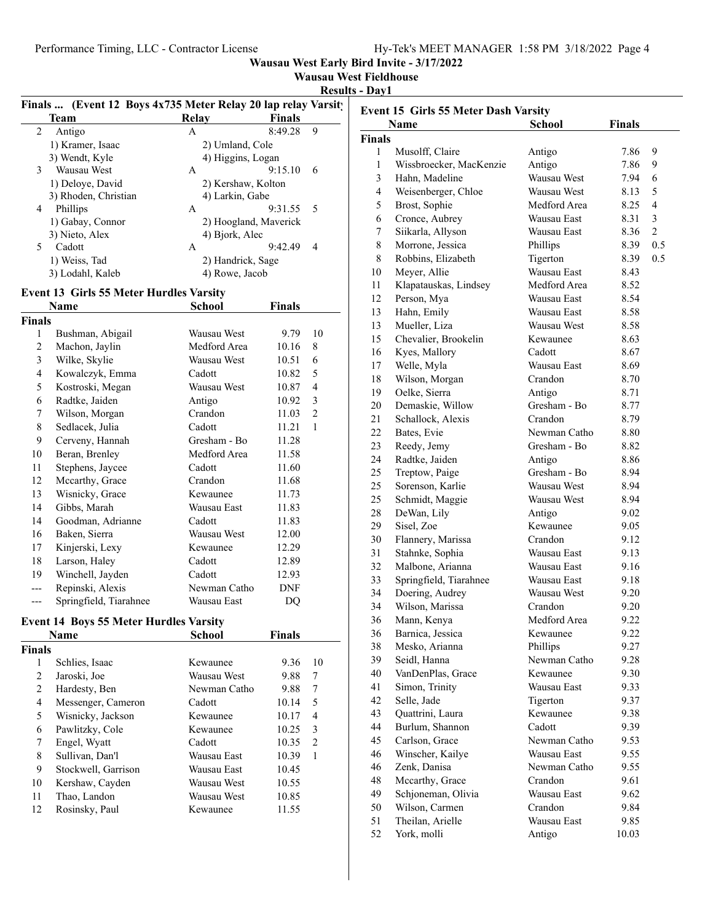| Wausau West Fieldhouse |  |  |
|------------------------|--|--|

**Results - Day1**

|    | Finals  (Event 12 Boys 4x735 Meter Relay 20 lap relay Varsity |                    |                       |  |
|----|---------------------------------------------------------------|--------------------|-----------------------|--|
|    | Team                                                          | Relay              | <b>Finals</b>         |  |
| 2  | Antigo                                                        | A                  | 9<br>8:49.28          |  |
|    | 1) Kramer, Isaac                                              | 2) Umland, Cole    |                       |  |
|    | 3) Wendt, Kyle                                                | 4) Higgins, Logan  |                       |  |
| 3  | Wausau West                                                   | A                  | 9:15.10<br>6          |  |
|    | 1) Deloye, David                                              | 2) Kershaw, Kolton |                       |  |
|    | 3) Rhoden, Christian                                          | 4) Larkin, Gabe    |                       |  |
| 4  | Phillips                                                      | A                  | $9:31.55$ 5           |  |
|    | 1) Gabay, Connor                                              |                    | 2) Hoogland, Maverick |  |
|    | 3) Nieto, Alex                                                | 4) Bjork, Alec     |                       |  |
| 5. | Cadott                                                        | A                  | 9:42.49<br>4          |  |
|    | 1) Weiss, Tad                                                 | 2) Handrick, Sage  |                       |  |
|    | 3) Lodahl, Kaleb                                              | 4) Rowe, Jacob     |                       |  |
|    |                                                               |                    |                       |  |

#### **Event 13 Girls 55 Meter Hurdles Varsity**

| Name                   | School       | Finals     |    |
|------------------------|--------------|------------|----|
| Finals                 |              |            |    |
| Bushman, Abigail       | Wausau West  | 9.79       | 10 |
| Machon, Jaylin         | Medford Area | 10.16      | 8  |
| Wilke, Skylie          | Wausau West  | 10.51      | 6  |
| Kowalczyk, Emma        | Cadott       | 10.82      | 5  |
| Kostroski, Megan       | Wausau West  | 10.87      | 4  |
| Radtke, Jaiden         | Antigo       | 10.92      | 3  |
| Wilson, Morgan         | Crandon      | 11.03      | 2  |
| Sedlacek, Julia        | Cadott       | 11.21      | 1  |
| Cerveny, Hannah        | Gresham - Bo | 11.28      |    |
| Beran, Brenley         | Medford Area | 11.58      |    |
| Stephens, Jaycee       | Cadott       | 11.60      |    |
| Mccarthy, Grace        | Crandon      | 11.68      |    |
| Wisnicky, Grace        | Kewaunee     | 11.73      |    |
| Gibbs, Marah           | Wausau East  | 11.83      |    |
| Goodman, Adrianne      | Cadott       | 11.83      |    |
| Baken, Sierra          | Wausau West  | 12.00      |    |
| Kinjerski, Lexy        | Kewaunee     | 12.29      |    |
| Larson, Haley          | Cadott       | 12.89      |    |
| Winchell, Jayden       | Cadott       | 12.93      |    |
| Repinski, Alexis       | Newman Catho | <b>DNF</b> |    |
| Springfield, Tiarahnee | Wausau East  | DQ         |    |
|                        |              |            |    |

# **Event 14 Boys 55 Meter Hurdles Varsity**

| Name          |                     | <b>School</b> | <b>Finals</b> |               |
|---------------|---------------------|---------------|---------------|---------------|
| <b>Finals</b> |                     |               |               |               |
| 1             | Schlies, Isaac      | Kewaunee      | 9.36          | 10            |
| 2             | Jaroski, Joe        | Wausau West   | 9.88          | 7             |
| 2             | Hardesty, Ben       | Newman Catho  | 9.88          | 7             |
| 4             | Messenger, Cameron  | Cadott        | 10.14         | 5             |
| 5             | Wisnicky, Jackson   | Kewaunee      | 10.17         | 4             |
| 6             | Pawlitzky, Cole     | Kewaunee      | 10.25         | 3             |
| 7             | Engel, Wyatt        | Cadott        | 10.35         | $\mathcal{L}$ |
| 8             | Sullivan, Dan'l     | Wausau East   | 10.39         | 1             |
| 9             | Stockwell, Garrison | Wausau East   | 10.45         |               |
| 10            | Kershaw, Cayden     | Wausau West   | 10.55         |               |
| 11            | Thao, Landon        | Wausau West   | 10.85         |               |
| 12            | Rosinsky, Paul      | Kewaunee      | 11.55         |               |
|               |                     |               |               |               |

| <b>Event 15 Girls 55 Meter Dash Varsity</b> |                         |              |               |                |  |  |
|---------------------------------------------|-------------------------|--------------|---------------|----------------|--|--|
|                                             | Name                    | School       | <b>Finals</b> |                |  |  |
| <b>Finals</b>                               |                         |              |               |                |  |  |
| 1                                           | Musolff, Claire         | Antigo       | 7.86          | 9              |  |  |
| 1                                           | Wissbroecker, MacKenzie | Antigo       | 7.86          | 9              |  |  |
| 3                                           | Hahn, Madeline          | Wausau West  | 7.94          | 6              |  |  |
| $\overline{4}$                              | Weisenberger, Chloe     | Wausau West  | 8.13          | 5              |  |  |
| 5                                           | Brost, Sophie           | Medford Area | 8.25          | $\overline{4}$ |  |  |
| 6                                           | Cronce, Aubrey          | Wausau East  | 8.31          | 3              |  |  |
| 7                                           | Siikarla, Allyson       | Wausau East  | 8.36          | $\overline{2}$ |  |  |
| 8                                           | Morrone, Jessica        | Phillips     | 8.39          | 0.5            |  |  |
| 8                                           | Robbins, Elizabeth      | Tigerton     | 8.39          | 0.5            |  |  |
| 10                                          | Meyer, Allie            | Wausau East  | 8.43          |                |  |  |
| 11                                          | Klapatauskas, Lindsey   | Medford Area | 8.52          |                |  |  |
| 12                                          | Person, Mya             | Wausau East  | 8.54          |                |  |  |
| 13                                          | Hahn, Emily             | Wausau East  | 8.58          |                |  |  |
| 13                                          | Mueller, Liza           | Wausau West  | 8.58          |                |  |  |
| 15                                          | Chevalier, Brookelin    | Kewaunee     | 8.63          |                |  |  |
| 16                                          | Kyes, Mallory           | Cadott       | 8.67          |                |  |  |
| 17                                          | Welle, Myla             | Wausau East  | 8.69          |                |  |  |
| 18                                          | Wilson, Morgan          | Crandon      | 8.70          |                |  |  |
| 19                                          | Oelke, Sierra           | Antigo       | 8.71          |                |  |  |
| 20                                          | Demaskie, Willow        | Gresham - Bo | 8.77          |                |  |  |
| 21                                          | Schallock, Alexis       | Crandon      | 8.79          |                |  |  |
| 22                                          | Bates, Evie             | Newman Catho | 8.80          |                |  |  |
| 23                                          | Reedy, Jemy             | Gresham - Bo | 8.82          |                |  |  |
| 24                                          | Radtke, Jaiden          | Antigo       | 8.86          |                |  |  |
| 25                                          | Treptow, Paige          | Gresham - Bo | 8.94          |                |  |  |
| 25                                          | Sorenson, Karlie        | Wausau West  | 8.94          |                |  |  |
| 25                                          | Schmidt, Maggie         | Wausau West  | 8.94          |                |  |  |
| 28                                          | DeWan, Lily             | Antigo       | 9.02          |                |  |  |
| 29                                          | Sisel, Zoe              | Kewaunee     | 9.05          |                |  |  |
| 30                                          | Flannery, Marissa       | Crandon      | 9.12          |                |  |  |
| 31                                          | Stahnke, Sophia         | Wausau East  | 9.13          |                |  |  |
| 32                                          | Malbone, Arianna        | Wausau East  | 9.16          |                |  |  |
| 33                                          | Springfield, Tiarahnee  | Wausau East  | 9.18          |                |  |  |
| 34                                          | Doering, Audrey         | Wausau West  | 9.20          |                |  |  |
| 34                                          | Wilson, Marissa         | Crandon      | 9.20          |                |  |  |
| 36                                          | Mann, Kenya             | Medford Area | 9.22          |                |  |  |
| 36                                          | Barnica, Jessica        | Kewaunee     | 9.22          |                |  |  |
| 38                                          | Mesko, Arianna          | Phillips     | 9.27          |                |  |  |
| 39                                          | Seidl, Hanna            | Newman Catho | 9.28          |                |  |  |
| 40                                          | VanDenPlas, Grace       | Kewaunee     |               |                |  |  |
| 41                                          | Simon, Trinity          | Wausau East  | 9.30          |                |  |  |
| 42                                          | Selle, Jade             |              | 9.33          |                |  |  |
|                                             |                         | Tigerton     | 9.37          |                |  |  |
| 43                                          | Quattrini, Laura        | Kewaunee     | 9.38          |                |  |  |
| 44                                          | Burlum, Shannon         | Cadott       | 9.39          |                |  |  |
| 45                                          | Carlson, Grace          | Newman Catho | 9.53          |                |  |  |
| 46                                          | Winscher, Kailye        | Wausau East  | 9.55          |                |  |  |
| 46                                          | Zenk, Danisa            | Newman Catho | 9.55          |                |  |  |
| 48                                          | Mccarthy, Grace         | Crandon      | 9.61          |                |  |  |
| 49                                          | Schjoneman, Olivia      | Wausau East  | 9.62          |                |  |  |
| 50                                          | Wilson, Carmen          | Crandon      | 9.84          |                |  |  |
| 51                                          | Theilan, Arielle        | Wausau East  | 9.85          |                |  |  |
| 52                                          | York, molli             | Antigo       | 10.03         |                |  |  |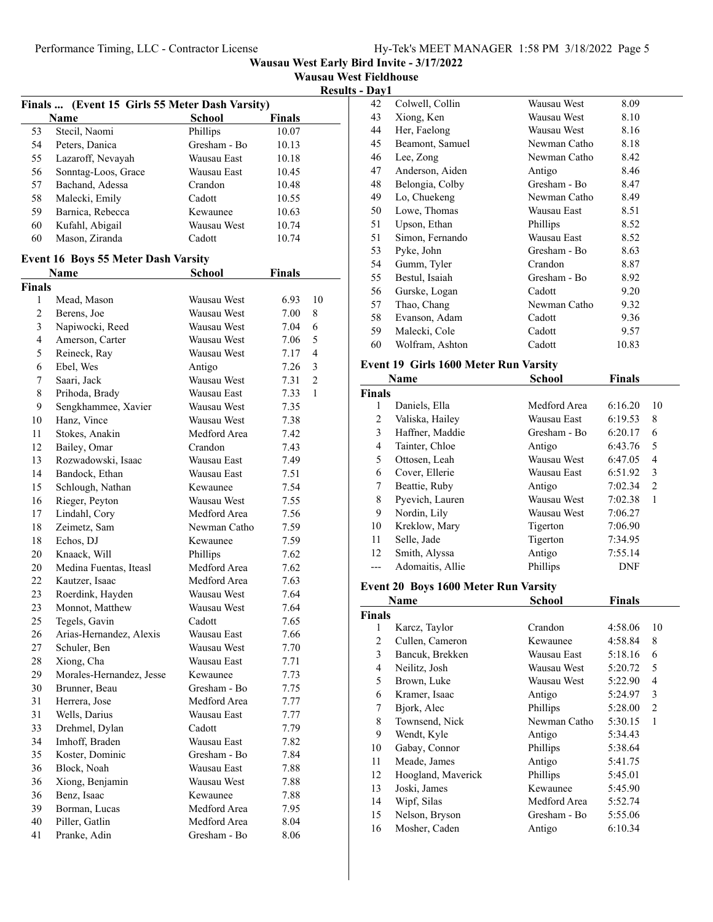|                |                                                |               |               |                |                               | Wausau West Early Bird Invite - 3/17/2022 |
|----------------|------------------------------------------------|---------------|---------------|----------------|-------------------------------|-------------------------------------------|
|                |                                                |               |               |                | <b>Wausau West Fieldhouse</b> |                                           |
|                |                                                |               |               |                | <b>Results - Day1</b>         |                                           |
|                | Finals  (Event 15 Girls 55 Meter Dash Varsity) |               |               |                | 42                            | Colwell, Collin                           |
|                | <b>Name</b>                                    | <b>School</b> | <b>Finals</b> |                | 43                            | Xiong, Ken                                |
| 53             | Stecil, Naomi                                  | Phillips      | 10.07         |                | 44                            | Her, Faelong                              |
| 54             | Peters, Danica                                 | Gresham - Bo  | 10.13         |                | 45                            | Beamont, Samue                            |
| 55             | Lazaroff, Nevayah                              | Wausau East   | 10.18         |                | 46                            | Lee, Zong                                 |
| 56             | Sonntag-Loos, Grace                            | Wausau East   | 10.45         |                | 47                            | Anderson, Aider                           |
| 57             | Bachand, Adessa                                | Crandon       | 10.48         |                | 48                            | Belongia, Colby                           |
| 58             | Malecki, Emily                                 | Cadott        | 10.55         |                | 49                            | Lo, Chuekeng                              |
| 59             | Barnica, Rebecca                               | Kewaunee      | 10.63         |                | 50                            | Lowe, Thomas                              |
| 60             | Kufahl, Abigail                                | Wausau West   | 10.74         |                | 51                            | Upson, Ethan                              |
| 60             | Mason, Ziranda                                 | Cadott        | 10.74         |                | 51                            | Simon, Fernando                           |
|                | <b>Event 16 Boys 55 Meter Dash Varsity</b>     |               |               |                | 53                            | Pyke, John                                |
|                | Name                                           | School        | <b>Finals</b> |                | 54                            | Gumm, Tyler                               |
| <b>Finals</b>  |                                                |               |               |                | 55                            | Bestul, Isaiah                            |
| $\mathbf{1}$   | Mead, Mason                                    | Wausau West   | 6.93          | 10             | 56                            | Gurske, Logan                             |
| $\overline{c}$ | Berens, Joe                                    | Wausau West   | 7.00          | $\,$ 8 $\,$    | 57                            | Thao, Chang                               |
|                |                                                |               |               |                | 58                            | Evanson, Adam                             |
| 3              | Napiwocki, Reed                                | Wausau West   | 7.04          | 6              | 59                            | Malecki, Cole                             |
| 4              | Amerson, Carter                                | Wausau West   | 7.06          | 5              | 60                            | Wolfram, Ashtor                           |
| 5              | Reineck, Ray                                   | Wausau West   | 7.17          | 4              |                               | Event 19 Girls 1600                       |
| 6              | Ebel, Wes                                      | Antigo        | 7.26          | 3              |                               |                                           |
| 7              | Saari, Jack                                    | Wausau West   | 7.31          | $\overline{2}$ |                               | Name                                      |
| 8              | Prihoda, Brady                                 | Wausau East   | 7.33          | 1              | <b>Finals</b>                 |                                           |
| 9              | Sengkhammee, Xavier                            | Wausau West   | 7.35          |                | 1                             | Daniels, Ella                             |
| 10             | Hanz, Vince                                    | Wausau West   | 7.38          |                | $\overline{c}$                | Valiska, Hailey                           |
| 11             | Stokes, Anakin                                 | Medford Area  | 7.42          |                | 3                             | Haffner, Maddie                           |
| 12             | Bailey, Omar                                   | Crandon       | 7.43          |                | $\overline{4}$                | Tainter, Chloe                            |
| 13             | Rozwadowski, Isaac                             | Wausau East   | 7.49          |                | 5                             | Ottosen, Leah                             |
| 14             | Bandock, Ethan                                 | Wausau East   | 7.51          |                | 6                             | Cover, Ellerie                            |
| 15             | Schlough, Nathan                               | Kewaunee      | 7.54          |                | $\tau$                        | Beattie, Ruby                             |
| 16             | Rieger, Peyton                                 | Wausau West   | 7.55          |                | $\,$ 8 $\,$                   | Pyevich, Lauren                           |
| 17             | Lindahl, Cory                                  | Medford Area  | 7.56          |                | 9                             | Nordin, Lily                              |
| 18             | Zeimetz, Sam                                   | Newman Catho  | 7.59          |                | 10                            | Kreklow, Mary                             |
| 18             | Echos, DJ                                      | Kewaunee      | 7.59          |                | 11                            | Selle, Jade                               |
| 20             | Knaack, Will                                   | Phillips      | 7.62          |                | 12                            | Smith, Alyssa                             |
| 20             | Medina Fuentas, Iteasl                         | Medford Area  | 7.62          |                | $---$                         | Adomaitis, Allie                          |
| 22             | Kautzer, Isaac                                 | Medford Area  | 7.63          |                |                               |                                           |
| 23             | Roerdink, Hayden                               | Wausau West   | 7.64          |                |                               | <b>Event 20 Boys 1600</b>                 |
| 23             | Monnot, Matthew                                | Wausau West   | 7.64          |                |                               | Name                                      |
| 25             | Tegels, Gavin                                  | Cadott        | 7.65          |                | <b>Finals</b>                 |                                           |
| 26             | Arias-Hernandez, Alexis                        | Wausau East   | 7.66          |                | $\mathbf{1}$                  | Karcz, Taylor                             |
| 27             | Schuler, Ben                                   | Wausau West   | 7.70          |                | $\sqrt{2}$                    | Cullen, Cameror                           |
| 28             | Xiong, Cha                                     | Wausau East   | 7.71          |                | 3                             | Bancuk, Brekker                           |
| 29             | Morales-Hernandez, Jesse                       | Kewaunee      | 7.73          |                | $\overline{4}$                | Neilitz, Josh                             |
| 30             | Brunner, Beau                                  | Gresham - Bo  | 7.75          |                | 5                             | Brown, Luke                               |
| 31             | Herrera, Jose                                  | Medford Area  | 7.77          |                | $\epsilon$                    | Kramer, Isaac                             |
| 31             | Wells, Darius                                  | Wausau East   | 7.77          |                | $\boldsymbol{7}$              | Bjork, Alec                               |
| 33             | Drehmel, Dylan                                 | Cadott        | 7.79          |                | $\,$ 8 $\,$                   | Townsend, Nick                            |
| 34             | Imhoff, Braden                                 | Wausau East   | 7.82          |                | 9                             | Wendt, Kyle                               |
| 35             | Koster, Dominic                                | Gresham - Bo  | 7.84          |                | $10\,$                        | Gabay, Connor                             |
|                |                                                |               |               |                | 11                            | Meade, James                              |
| 36             | Block, Noah                                    | Wausau East   | 7.88          |                | 12                            | Hoogland, Mave                            |
| 36             | Xiong, Benjamin                                | Wausau West   | 7.88          |                | 13                            | Joski, James                              |
| 36             | Benz, Isaac                                    | Kewaunee      | 7.88          |                | 14                            | Wipf, Silas                               |
| 39             | Borman, Lucas                                  | Medford Area  | 7.95          |                | 15                            | Nelson, Bryson                            |
| 40             | Piller, Gatlin                                 | Medford Area  | 8.04          |                | 16                            | Mosher, Caden                             |
| 41             | Pranke, Adin                                   | Gresham - Bo  | 8.06          |                |                               |                                           |

|          | ət 1 iciunun əc |              |       |  |
|----------|-----------------|--------------|-------|--|
| s - Dav1 |                 |              |       |  |
| 42       | Colwell, Collin | Wausau West  | 8.09  |  |
| 43       | Xiong, Ken      | Wausau West  | 8.10  |  |
| 44       | Her, Faelong    | Wausau West  | 8.16  |  |
| 45       | Beamont, Samuel | Newman Catho | 8.18  |  |
| 46       | Lee, Zong       | Newman Catho | 8.42  |  |
| 47       | Anderson, Aiden | Antigo       | 8.46  |  |
| 48       | Belongia, Colby | Gresham - Bo | 8.47  |  |
| 49       | Lo, Chuekeng    | Newman Catho | 8.49  |  |
| 50       | Lowe, Thomas    | Wausau East  | 8.51  |  |
| 51       | Upson, Ethan    | Phillips     | 8.52  |  |
| 51       | Simon, Fernando | Wausau East  | 8.52  |  |
| 53       | Pyke, John      | Gresham - Bo | 8.63  |  |
| 54       | Gumm, Tyler     | Crandon      | 8.87  |  |
| 55       | Bestul, Isaiah  | Gresham - Bo | 8.92  |  |
| 56       | Gurske, Logan   | Cadott       | 9.20  |  |
| 57       | Thao, Chang     | Newman Catho | 9.32  |  |
| 58       | Evanson, Adam   | Cadott       | 9.36  |  |
| 59       | Malecki, Cole   | Cadott       | 9.57  |  |
| 60       | Wolfram, Ashton | Cadott       | 10.83 |  |
|          |                 |              |       |  |

#### **Event 19 Girls 1600 Meter Run Varsity**

|               | Name             | <b>School</b> | <b>Finals</b> |    |
|---------------|------------------|---------------|---------------|----|
| <b>Finals</b> |                  |               |               |    |
| 1             | Daniels, Ella    | Medford Area  | 6:16.20       | 10 |
| 2             | Valiska, Hailey  | Wausau East   | 6:19.53       | 8  |
| 3             | Haffner, Maddie  | Gresham - Bo  | 6:20.17       | 6  |
| 4             | Tainter, Chloe   | Antigo        | 6:43.76       | 5  |
| 5             | Ottosen, Leah    | Wausau West   | 6:47.05       | 4  |
| 6             | Cover, Ellerie   | Wausau East   | 6:51.92       | 3  |
| 7             | Beattie, Ruby    | Antigo        | 7:02.34       | 2  |
| 8             | Pyevich, Lauren  | Wausau West   | 7:02.38       | 1  |
| 9             | Nordin, Lily     | Wausau West   | 7:06.27       |    |
| 10            | Kreklow, Mary    | Tigerton      | 7:06.90       |    |
| 11            | Selle, Jade      | Tigerton      | 7:34.95       |    |
| 12            | Smith, Alyssa    | Antigo        | 7:55.14       |    |
| ---           | Adomaitis, Allie | Phillips      | <b>DNF</b>    |    |

## **Event 20 Boys 1600 Meter Run Varsity**

| Name          |                    | <b>School</b> | <b>Finals</b> |                |  |
|---------------|--------------------|---------------|---------------|----------------|--|
| <b>Finals</b> |                    |               |               |                |  |
| 1             | Karcz, Taylor      | Crandon       | 4:58.06       | 10             |  |
| 2             | Cullen, Cameron    | Kewaunee      | 4:58.84       | 8              |  |
| 3             | Bancuk, Brekken    | Wausau East   | 5:18.16       | 6              |  |
| 4             | Neilitz, Josh      | Wausau West   | 5:20.72       | 5              |  |
| 5             | Brown, Luke        | Wausau West   | 5:22.90       | 4              |  |
| 6             | Kramer, Isaac      | Antigo        | 5:24.97       | 3              |  |
| 7             | Bjork, Alec        | Phillips      | 5:28.00       | $\overline{2}$ |  |
| 8             | Townsend, Nick     | Newman Catho  | 5:30.15       | 1              |  |
| 9             | Wendt, Kyle        | Antigo        | 5:34.43       |                |  |
| 10            | Gabay, Connor      | Phillips      | 5:38.64       |                |  |
| 11            | Meade, James       | Antigo        | 5:41.75       |                |  |
| 12            | Hoogland, Maverick | Phillips      | 5:45.01       |                |  |
| 13            | Joski, James       | Kewaunee      | 5:45.90       |                |  |
| 14            | Wipf, Silas        | Medford Area  | 5:52.74       |                |  |
| 15            | Nelson, Bryson     | Gresham - Bo  | 5:55.06       |                |  |
| 16            | Mosher, Caden      | Antigo        | 6:10.34       |                |  |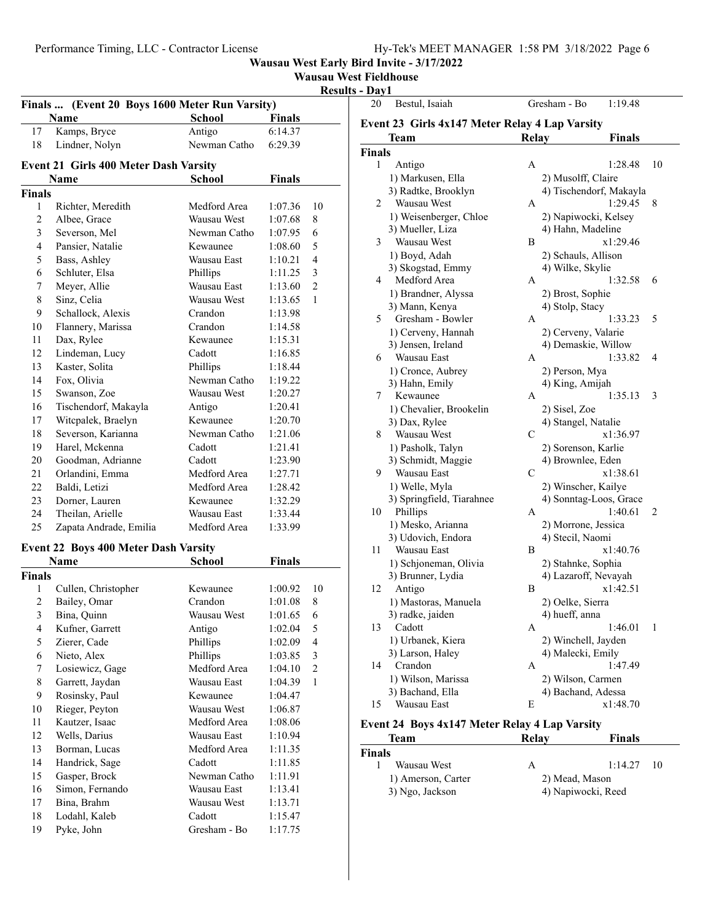**Wausau West Fieldhouse**

**Results - Day1** 20 Bestul, Isaiah Gresham - Bo 1:19.48

|                | Finals  (Event 20 Boys 1600 Meter Run Varsity) |               |         | 17691          |
|----------------|------------------------------------------------|---------------|---------|----------------|
|                | Name                                           | <b>School</b> | Finals  |                |
| 17             | Kamps, Bryce                                   | Antigo        | 6:14.37 |                |
| 18             | Lindner, Nolyn                                 | Newman Catho  | 6:29.39 |                |
|                |                                                |               |         |                |
|                | <b>Event 21 Girls 400 Meter Dash Varsity</b>   |               |         |                |
|                | Name                                           | <b>School</b> | Finals  |                |
| <b>Finals</b>  |                                                |               |         |                |
| 1              | Richter, Meredith                              | Medford Area  | 1:07.36 | 10             |
| 2              | Albee, Grace                                   | Wausau West   | 1:07.68 | 8              |
| 3              | Severson, Mel                                  | Newman Catho  | 1:07.95 | 6              |
| $\overline{4}$ | Pansier, Natalie                               | Kewaunee      | 1:08.60 | 5              |
| 5              | Bass, Ashley                                   | Wausau East   | 1:10.21 | $\overline{4}$ |
| 6              | Schluter, Elsa                                 | Phillips      | 1:11.25 | 3              |
| 7              | Meyer, Allie                                   | Wausau East   | 1:13.60 | 2              |
| 8              | Sinz, Celia                                    | Wausau West   | 1:13.65 | 1              |
| 9              | Schallock, Alexis                              | Crandon       | 1:13.98 |                |
| 10             | Flannery, Marissa                              | Crandon       | 1:14.58 |                |
| 11             | Dax, Rylee                                     | Kewaunee      | 1:15.31 |                |
| 12             | Lindeman, Lucy                                 | Cadott        | 1:16.85 |                |
| 13             | Kaster, Solita                                 | Phillips      | 1:18.44 |                |
| 14             | Fox, Olivia                                    | Newman Catho  | 1:19.22 |                |
| 15             | Swanson, Zoe                                   | Wausau West   | 1:20.27 |                |
| 16             | Tischendorf, Makayla                           | Antigo        | 1:20.41 |                |
| 17             | Witcpalek, Braelyn                             | Kewaunee      | 1:20.70 |                |
| 18             | Severson, Karianna                             | Newman Catho  | 1:21.06 |                |
| 19             | Harel, Mckenna                                 | Cadott        | 1:21.41 |                |
| 20             | Goodman, Adrianne                              | Cadott        | 1:23.90 |                |
| 21             | Orlandini, Emma                                | Medford Area  | 1:27.71 |                |
| 22             | Baldi, Letizi                                  | Medford Area  | 1:28.42 |                |
| 23             | Dorner, Lauren                                 | Kewaunee      | 1:32.29 |                |
| 24             | Theilan, Arielle                               | Wausau East   | 1:33.44 |                |
| 25             | Zapata Andrade, Emilia                         | Medford Area  | 1:33.99 |                |
|                |                                                |               |         |                |
|                | <b>Event 22 Boys 400 Meter Dash Varsity</b>    |               |         |                |
|                | Name                                           | School        | Finals  |                |
| <b>Finals</b>  |                                                |               |         |                |
| 1              | Cullen, Christopher                            | Kewaunee      | 1:00.92 | 10             |
| $\overline{2}$ | Bailey, Omar                                   | Crandon       | 1:01.08 | 8              |
| $\overline{3}$ | Bina, Quinn                                    | Wausau West   | 1:01.65 | 6              |
| 4              | Kufner, Garrett                                | Antigo        | 1:02.04 | 5              |
| 5              | Zierer, Cade                                   | Phillips      | 1:02.09 | $\overline{4}$ |
| 6              | Nieto, Alex                                    | Phillips      | 1:03.85 | 3              |
| 7              | Losiewicz, Gage                                | Medford Area  | 1:04.10 | 2              |
| 8              | Garrett, Jaydan                                | Wausau East   | 1:04.39 | $\mathbf{1}$   |
| 9              | Rosinsky, Paul                                 | Kewaunee      | 1:04.47 |                |
| 10             | Rieger, Peyton                                 | Wausau West   | 1:06.87 |                |
| 11             | Kautzer, Isaac                                 | Medford Area  | 1:08.06 |                |
| 12             | Wells, Darius                                  | Wausau East   | 1:10.94 |                |
| 13             | Borman, Lucas                                  | Medford Area  | 1:11.35 |                |
| 14             | Handrick, Sage                                 | Cadott        | 1:11.85 |                |
| 15             | Gasper, Brock                                  | Newman Catho  | 1:11.91 |                |
| 16             | Simon, Fernando                                | Wausau East   | 1:13.41 |                |
| 17             | Bina, Brahm                                    | Wausau West   | 1:13.71 |                |
| 18             | Lodahl, Kaleb                                  | Cadott        | 1:15.47 |                |
| 19             | Pyke, John                                     | Gresham - Bo  | 1:17.75 |                |
|                |                                                |               |         |                |

|               | Team                      | Relay          | Finals                  |
|---------------|---------------------------|----------------|-------------------------|
| <b>Finals</b> |                           |                |                         |
| 1             | Antigo                    | A              | 1:28.48<br>10           |
|               | 1) Markusen, Ella         |                | 2) Musolff, Claire      |
|               | 3) Radtke, Brooklyn       |                | 4) Tischendorf, Makayla |
| 2             | Wausau West               | А              | 1:29.45<br>8            |
|               | 1) Weisenberger, Chloe    |                | 2) Napiwocki, Kelsey    |
|               | 3) Mueller, Liza          |                | 4) Hahn, Madeline       |
| 3             | Wausau West               | B              | x1:29.46                |
|               | 1) Boyd, Adah             |                | 2) Schauls, Allison     |
|               | 3) Skogstad, Emmy         |                | 4) Wilke, Skylie        |
| 4             | Medford Area              | А              | 1:32.58<br>6            |
|               |                           |                |                         |
|               | 1) Brandner, Alyssa       |                | 2) Brost, Sophie        |
|               | 3) Mann, Kenya            |                | 4) Stolp, Stacy<br>5    |
| 5             | Gresham - Bowler          | А              | 1:33.23                 |
|               | 1) Cerveny, Hannah        |                | 2) Cerveny, Valarie     |
|               | 3) Jensen, Ireland        |                | 4) Demaskie, Willow     |
| 6             | Wausau East               | А              | 1:33.82<br>4            |
|               | 1) Cronce, Aubrey         |                | 2) Person, Mya          |
|               | 3) Hahn, Emily            |                | 4) King, Amijah         |
| 7             | Kewaunee                  | А              | 1:35.13<br>3            |
|               | 1) Chevalier, Brookelin   | 2) Sisel, Zoe  |                         |
|               | 3) Dax, Rylee             |                | 4) Stangel, Natalie     |
| 8             | Wausau West               | С              | x1:36.97                |
|               | 1) Pasholk, Talyn         |                | 2) Sorenson, Karlie     |
|               | 3) Schmidt, Maggie        |                | 4) Brownlee, Eden       |
| 9             | Wausau East               | С              | x1:38.61                |
|               | 1) Welle, Myla            |                | 2) Winscher, Kailye     |
|               | 3) Springfield, Tiarahnee |                | 4) Sonntag-Loos, Grace  |
| 10            | Phillips                  | А              | 1:40.61<br>2            |
|               | 1) Mesko, Arianna         |                | 2) Morrone, Jessica     |
|               | 3) Udovich, Endora        |                | 4) Stecil, Naomi        |
| 11            | Wausau East               | B              | x1:40.76                |
|               | 1) Schjoneman, Olivia     |                | 2) Stahnke, Sophia      |
|               | 3) Brunner, Lydia         |                | 4) Lazaroff, Nevayah    |
| 12            | Antigo                    | B              | x1:42.51                |
|               | 1) Mastoras, Manuela      |                | 2) Oelke, Sierra        |
|               | 3) radke, jaiden          | 4) hueff, anna |                         |
| 13            | Cadott                    | Α              | 1:46.01<br>1            |
|               | 1) Urbanek, Kiera         |                | 2) Winchell, Jayden     |
|               | 3) Larson, Haley          |                | 4) Malecki, Emily       |
| 14            | Crandon                   | Α              | 1:47.49                 |
|               | 1) Wilson, Marissa        |                | 2) Wilson, Carmen       |
|               | 3) Bachand, Ella          |                | 4) Bachand, Adessa      |
|               |                           |                |                         |

**Event 24 Boys 4x147 Meter Relay 4 Lap Varsity**

| Team               | Relay          | <b>Finals</b>      |
|--------------------|----------------|--------------------|
| <b>Finals</b>      |                |                    |
| Wausau West        | А              | 1:14.27<br>-10     |
| 1) Amerson, Carter | 2) Mead, Mason |                    |
| 3) Ngo, Jackson    |                | 4) Napiwocki, Reed |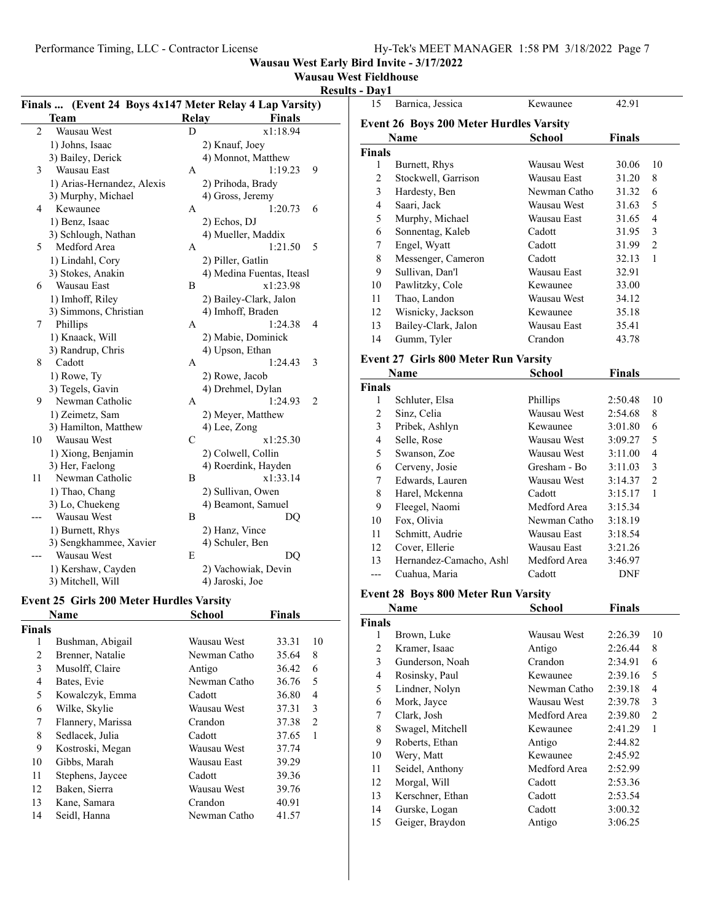## **Wausau West Fieldhouse**

#### **Results - Day1**

| Finals  (Event 24 Boys 4x147 Meter Relay 4 Lap Varsity) |                            |              |                           |  |
|---------------------------------------------------------|----------------------------|--------------|---------------------------|--|
|                                                         | Team                       | <b>Relay</b> | <b>Finals</b>             |  |
| $\overline{2}$                                          | Wausau West                | D            | x1:18.94                  |  |
|                                                         | 1) Johns, Isaac            |              | 2) Knauf, Joey            |  |
|                                                         | 3) Bailey, Derick          |              | 4) Monnot, Matthew        |  |
| 3                                                       | Wausau East                | А            | 1:19.23<br>9              |  |
|                                                         | 1) Arias-Hernandez, Alexis |              | 2) Prihoda, Brady         |  |
|                                                         | 3) Murphy, Michael         |              | 4) Gross, Jeremy          |  |
| 4                                                       | Kewaunee                   | А            | 1:20.73<br>6              |  |
|                                                         | 1) Benz, Isaac             |              | 2) Echos, DJ              |  |
|                                                         | 3) Schlough, Nathan        |              | 4) Mueller, Maddix        |  |
| 5                                                       | Medford Area               | A            | 1:21.50<br>5              |  |
|                                                         | 1) Lindahl, Cory           |              | 2) Piller, Gatlin         |  |
|                                                         | 3) Stokes, Anakin          |              | 4) Medina Fuentas, Iteasl |  |
| 6                                                       | Wausau East                | B            | x1:23.98                  |  |
|                                                         | 1) Imhoff, Riley           |              | 2) Bailey-Clark, Jalon    |  |
|                                                         | 3) Simmons, Christian      |              | 4) Imhoff, Braden         |  |
| 7                                                       | Phillips                   | A            | 1:24.38<br>4              |  |
|                                                         | 1) Knaack, Will            |              | 2) Mabie, Dominick        |  |
|                                                         | 3) Randrup, Chris          |              | 4) Upson, Ethan           |  |
| 8                                                       | Cadott                     | A            | 1:24.43<br>3              |  |
|                                                         | 1) Rowe, Ty                |              | 2) Rowe, Jacob            |  |
|                                                         | 3) Tegels, Gavin           |              | 4) Drehmel, Dylan         |  |
| 9                                                       | Newman Catholic            | A            | 1:24.93<br>2              |  |
|                                                         | 1) Zeimetz, Sam            |              | 2) Meyer, Matthew         |  |
|                                                         | 3) Hamilton, Matthew       |              | 4) Lee, Zong              |  |
| 10                                                      | Wausau West                | $\mathsf{C}$ | x1:25.30                  |  |
|                                                         | 1) Xiong, Benjamin         |              | 2) Colwell, Collin        |  |
|                                                         | 3) Her, Faelong            |              | 4) Roerdink, Hayden       |  |
| 11                                                      | Newman Catholic            | B            | x1:33.14                  |  |
|                                                         | 1) Thao, Chang             |              | 2) Sullivan, Owen         |  |
|                                                         | 3) Lo, Chuekeng            |              | 4) Beamont, Samuel        |  |
|                                                         | Wausau West                | B            | DQ                        |  |
|                                                         | 1) Burnett, Rhys           |              | 2) Hanz, Vince            |  |
|                                                         | 3) Sengkhammee, Xavier     |              | 4) Schuler, Ben           |  |
|                                                         | Wausau West                | E            | DQ                        |  |
|                                                         | 1) Kershaw, Cayden         |              | 2) Vachowiak, Devin       |  |
|                                                         | 3) Mitchell, Will          |              | 4) Jaroski, Joe           |  |

#### **Event 25 Girls 200 Meter Hurdles Varsity**

|               | <b>Name</b>       | <b>School</b> | <b>Finals</b> |                |
|---------------|-------------------|---------------|---------------|----------------|
| <b>Finals</b> |                   |               |               |                |
| 1             | Bushman, Abigail  | Wausau West   | 33.31         | 10             |
| 2             | Brenner, Natalie  | Newman Catho  | 35.64         | 8              |
| 3             | Musolff, Claire   | Antigo        | 36.42         | 6              |
| 4             | Bates, Evie       | Newman Catho  | 36.76         | 5              |
| 5             | Kowalczyk, Emma   | Cadott        | 36.80         | 4              |
| 6             | Wilke, Skylie     | Wausau West   | 37.31         | 3              |
| 7             | Flannery, Marissa | Crandon       | 37.38         | $\overline{2}$ |
| 8             | Sedlacek, Julia   | Cadott        | 37.65         | 1              |
| 9             | Kostroski, Megan  | Wausau West   | 37.74         |                |
| 10            | Gibbs, Marah      | Wausau East   | 39.29         |                |
| 11            | Stephens, Jaycee  | Cadott        | 39.36         |                |
| 12            | Baken, Sierra     | Wausau West   | 39.76         |                |
| 13            | Kane, Samara      | Crandon       | 40.91         |                |
| 14            | Seidl, Hanna      | Newman Catho  | 41.57         |                |
|               |                   |               |               |                |

| 15     | Barnica, Jessica                               | Kewaunee     | 42.91         |    |
|--------|------------------------------------------------|--------------|---------------|----|
|        | <b>Event 26 Boys 200 Meter Hurdles Varsity</b> |              |               |    |
|        | Name                                           | School       | <b>Finals</b> |    |
| Finals |                                                |              |               |    |
| 1      | Burnett, Rhys                                  | Wausau West  | 30.06         | 10 |
| 2      | Stockwell, Garrison                            | Wausau East  | 31.20         | 8  |
| 3      | Hardesty, Ben                                  | Newman Catho | 31.32         | 6  |
| 4      | Saari, Jack                                    | Wausau West  | 31.63         | 5  |
| 5      | Murphy, Michael                                | Wausau East  | 31.65         | 4  |
| 6      | Sonnentag, Kaleb                               | Cadott       | 31.95         | 3  |
| 7      | Engel, Wyatt                                   | Cadott       | 31.99         | 2  |
| 8      | Messenger, Cameron                             | Cadott       | 32.13         | 1  |
| 9      | Sullivan, Dan'l                                | Wausau East  | 32.91         |    |
| 10     | Pawlitzky, Cole                                | Kewaunee     | 33.00         |    |
| 11     | Thao, Landon                                   | Wausau West  | 34.12         |    |
| 12     | Wisnicky, Jackson                              | Kewaunee     | 35.18         |    |
| 13     | Bailey-Clark, Jalon                            | Wausau East  | 35.41         |    |
| 14     | Gumm, Tyler                                    | Crandon      | 43.78         |    |
|        |                                                |              |               |    |

## **Event 27 Girls 800 Meter Run Varsity**

|               | Name                    | School       | <b>Finals</b> |                |
|---------------|-------------------------|--------------|---------------|----------------|
| <b>Finals</b> |                         |              |               |                |
| 1             | Schluter, Elsa          | Phillips     | 2:50.48       | 10             |
| 2             | Sinz, Celia             | Wausau West  | 2:54.68       | 8              |
| 3             | Pribek, Ashlyn          | Kewaunee     | 3:01.80       | 6              |
| 4             | Selle, Rose             | Wausau West  | 3:09.27       | 5              |
| 5             | Swanson, Zoe            | Wausau West  | 3:11.00       | 4              |
| 6             | Cerveny, Josie          | Gresham - Bo | 3:11.03       | 3              |
| 7             | Edwards, Lauren         | Wausau West  | 3:14.37       | $\overline{c}$ |
| 8             | Harel, Mckenna          | Cadott       | 3:15.17       | 1              |
| 9             | Fleegel, Naomi          | Medford Area | 3:15.34       |                |
| 10            | Fox, Olivia             | Newman Catho | 3:18.19       |                |
| 11            | Schmitt, Audrie         | Wausau East  | 3:18.54       |                |
| 12            | Cover, Ellerie          | Wausau East  | 3:21.26       |                |
| 13            | Hernandez-Camacho, Ashl | Medford Area | 3:46.97       |                |
|               | Cuahua, Maria           | Cadott       | DNF           |                |

#### **Event 28 Boys 800 Meter Run Varsity**

|                | Name             | <b>School</b> | <b>Finals</b> |                |
|----------------|------------------|---------------|---------------|----------------|
| <b>Finals</b>  |                  |               |               |                |
| 1              | Brown, Luke      | Wausau West   | 2:26.39       | 10             |
| $\overline{c}$ | Kramer, Isaac    | Antigo        | 2:26.44       | 8              |
| 3              | Gunderson, Noah  | Crandon       | 2:34.91       | 6              |
| $\overline{4}$ | Rosinsky, Paul   | Kewaunee      | 2:39.16       | 5              |
| 5              | Lindner, Nolyn   | Newman Catho  | 2:39.18       | 4              |
| 6              | Mork, Jayce      | Wausau West   | 2:39.78       | 3              |
| 7              | Clark, Josh      | Medford Area  | 2:39.80       | $\overline{2}$ |
| 8              | Swagel, Mitchell | Kewaunee      | 2:41.29       | 1              |
| 9              | Roberts, Ethan   | Antigo        | 2:44.82       |                |
| 10             | Wery, Matt       | Kewaunee      | 2:45.92       |                |
| 11             | Seidel, Anthony  | Medford Area  | 2:52.99       |                |
| 12             | Morgal, Will     | Cadott        | 2:53.36       |                |
| 13             | Kerschner, Ethan | Cadott        | 2:53.54       |                |
| 14             | Gurske, Logan    | Cadott        | 3:00.32       |                |
| 15             | Geiger, Braydon  | Antigo        | 3:06.25       |                |
|                |                  |               |               |                |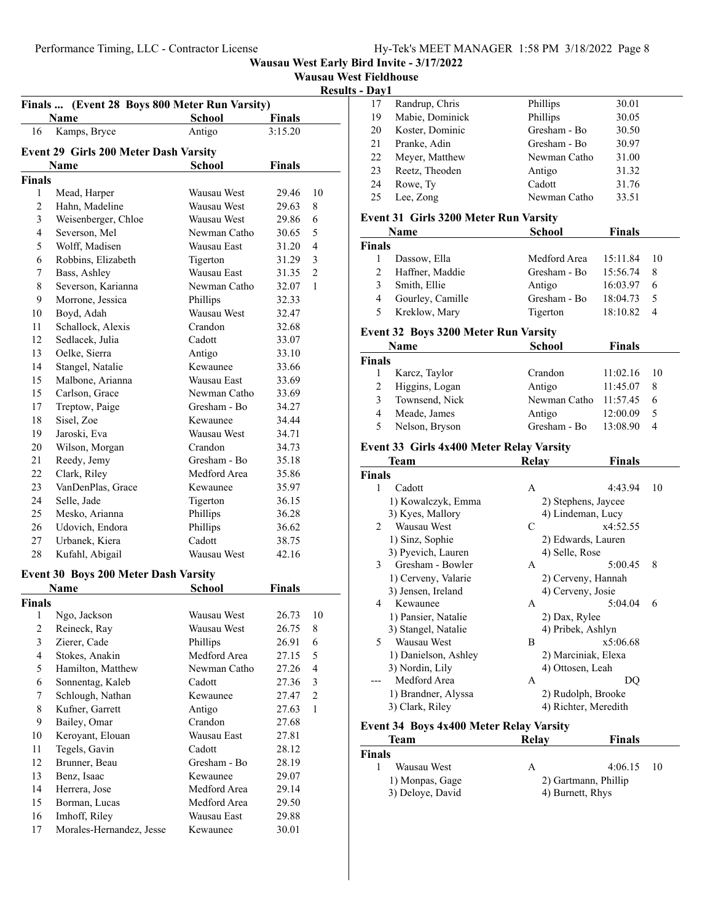|  |  | <b>Wausau West Fieldhouse</b> |
|--|--|-------------------------------|
|--|--|-------------------------------|

**Results - Day1**

|                         | Name                                         | <b>School</b> | <b>Finals</b>  |                |
|-------------------------|----------------------------------------------|---------------|----------------|----------------|
| 16                      | Kamps, Bryce                                 | Antigo        | 3:15.20        |                |
|                         | <b>Event 29 Girls 200 Meter Dash Varsity</b> |               |                |                |
|                         | Name                                         | School        | Finals         |                |
| Finals                  |                                              |               |                |                |
| 1                       | Mead, Harper                                 | Wausau West   | 29.46          | 10             |
| 2                       | Hahn, Madeline                               | Wausau West   | 29.63          | 8              |
| 3                       | Weisenberger, Chloe                          | Wausau West   | 29.86          | 6              |
| $\overline{4}$          | Severson, Mel                                | Newman Catho  | 30.65          | 5              |
| 5                       | Wolff, Madisen                               | Wausau East   | 31.20          | $\overline{4}$ |
| 6                       | Robbins, Elizabeth                           | Tigerton      | 31.29          | 3              |
| 7                       | Bass, Ashley                                 | Wausau East   | 31.35          | $\mathfrak{2}$ |
| 8                       | Severson, Karianna                           | Newman Catho  | 32.07          | 1              |
| 9                       | Morrone, Jessica                             | Phillips      | 32.33          |                |
| 10                      | Boyd, Adah                                   | Wausau West   | 32.47          |                |
| 11                      | Schallock, Alexis                            | Crandon       | 32.68          |                |
| 12                      | Sedlacek, Julia                              | Cadott        | 33.07          |                |
| 13                      | Oelke, Sierra                                | Antigo        | 33.10          |                |
| 14                      | Stangel, Natalie                             | Kewaunee      | 33.66          |                |
| 15                      | Malbone, Arianna                             | Wausau East   | 33.69          |                |
| 15                      | Carlson, Grace                               | Newman Catho  | 33.69          |                |
| 17                      | Treptow, Paige                               | Gresham - Bo  | 34.27          |                |
| 18                      | Sisel, Zoe                                   | Kewaunee      | 34.44          |                |
| 19                      | Jaroski, Eva                                 | Wausau West   | 34.71          |                |
| 20                      | Wilson, Morgan                               | Crandon       | 34.73          |                |
| 21                      | Reedy, Jemy                                  | Gresham - Bo  | 35.18          |                |
| 22                      | Clark, Riley                                 | Medford Area  | 35.86          |                |
| 23                      | VanDenPlas, Grace                            | Kewaunee      | 35.97          |                |
| 24                      | Selle, Jade                                  | Tigerton      | 36.15          |                |
| 25                      | Mesko, Arianna                               | Phillips      | 36.28          |                |
| 26                      | Udovich, Endora                              | Phillips      | 36.62          |                |
| 27                      |                                              | Cadott        |                |                |
| 28                      | Urbanek, Kiera                               | Wausau West   | 38.75<br>42.16 |                |
|                         | Kufahl, Abigail                              |               |                |                |
|                         | <b>Event 30 Boys 200 Meter Dash Varsity</b>  |               |                |                |
|                         | Name                                         | School        | Finals         |                |
| Finals                  |                                              |               |                |                |
| 1                       | Ngo, Jackson                                 | Wausau West   | 26.73          | 10             |
| 2                       | Reineck, Ray                                 | Wausau West   | 26.75          | 8              |
| $\overline{\mathbf{3}}$ | Zierer, Cade                                 | Phillips      | 26.91          | 6              |
| 4                       | Stokes, Anakin                               | Medford Area  | 27.15          | 5              |
| 5                       | Hamilton, Matthew                            | Newman Catho  | 27.26          | 4              |
| 6                       | Sonnentag, Kaleb                             | Cadott        | 27.36          | 3              |
| 7                       | Schlough, Nathan                             | Kewaunee      | 27.47          | 2              |
| 8                       | Kufner, Garrett                              | Antigo        | 27.63          | 1              |
| 9                       | Bailey, Omar                                 | Crandon       | 27.68          |                |
| 10                      | Keroyant, Elouan                             | Wausau East   | 27.81          |                |
| 11                      | Tegels, Gavin                                | Cadott        | 28.12          |                |
| 12                      | Brunner, Beau                                | Gresham - Bo  | 28.19          |                |
| 13                      | Benz, Isaac                                  | Kewaunee      | 29.07          |                |
| 14                      | Herrera, Jose                                | Medford Area  | 29.14          |                |
| 15                      | Borman, Lucas                                | Medford Area  | 29.50          |                |
| 16                      | Imhoff, Riley                                | Wausau East   | 29.88          |                |
| 17                      | Morales-Hernandez, Jesse                     | Kewaunee      | 30.01          |                |

| vavı |                 |              |       |
|------|-----------------|--------------|-------|
| 17   | Randrup, Chris  | Phillips     | 30.01 |
| 19   | Mabie, Dominick | Phillips     | 30.05 |
| 20   | Koster, Dominic | Gresham - Bo | 30.50 |
| 21   | Pranke, Adin    | Gresham - Bo | 30.97 |
| 22   | Meyer, Matthew  | Newman Catho | 31.00 |
| 23   | Reetz, Theoden  | Antigo       | 31.32 |
| 24   | Rowe, Ty        | Cadott       | 31.76 |
| 25   | Lee, Zong       | Newman Catho | 33.51 |
|      |                 |              |       |

#### **Event 31 Girls 3200 Meter Run Varsity**

|               | Name             | <b>School</b> | <b>Finals</b> |   |
|---------------|------------------|---------------|---------------|---|
| <b>Finals</b> |                  |               |               |   |
|               | Dassow, Ella     | Medford Area  | 15:11.84 10   |   |
| 2             | Haffner, Maddie  | Gresham - Bo  | 15:56.74      | 8 |
| 3             | Smith, Ellie     | Antigo        | $16:03.97$ 6  |   |
| 4             | Gourley, Camille | Gresham - Bo  | 18:04.73      |   |
| 5             | Kreklow, Mary    | Tigerton      | 18:10.82      |   |

#### **Event 32 Boys 3200 Meter Run Varsity**

| Name          |                | School                | <b>Finals</b> |     |
|---------------|----------------|-----------------------|---------------|-----|
| <b>Finals</b> |                |                       |               |     |
|               | Karcz, Taylor  | Crandon               | 11:02.16      | -10 |
|               | Higgins, Logan | Antigo                | 11:45.07      |     |
| 3             | Townsend, Nick | Newman Catho 11:57.45 |               |     |
| 4             | Meade, James   | Antigo                | 12:00.09      |     |
| 5             | Nelson, Bryson | Gresham - Bo          | 13:08.90      |     |

#### **Event 33 Girls 4x400 Meter Relay Varsity**

|                | Team                                           | Relay             | <b>Finals</b>        |    |
|----------------|------------------------------------------------|-------------------|----------------------|----|
| Finals         |                                                |                   |                      |    |
| 1              | Cadott                                         | A                 | 4:43.94              | 10 |
|                | 1) Kowalczyk, Emma                             |                   | 2) Stephens, Jaycee  |    |
|                | 3) Kyes, Mallory                               |                   | 4) Lindeman, Lucy    |    |
| $\mathfrak{D}$ | Wausau West                                    | C                 | x4:52.55             |    |
|                | 1) Sinz, Sophie                                |                   | 2) Edwards, Lauren   |    |
|                | 3) Pyevich, Lauren                             | 4) Selle, Rose    |                      |    |
| 3              | Gresham - Bowler                               | А                 | 5:00.45              | 8  |
|                | 1) Cerveny, Valarie                            |                   | 2) Cerveny, Hannah   |    |
|                | 3) Jensen, Ireland                             | 4) Cerveny, Josie |                      |    |
| 4              | Kewaunee                                       | A                 | 5:04.04              | 6  |
|                | 1) Pansier, Natalie                            | 2) Dax, Rylee     |                      |    |
|                | 3) Stangel, Natalie                            | 4) Pribek, Ashlyn |                      |    |
| 5              | Wausau West                                    | B                 | x5:06.68             |    |
|                | 1) Danielson, Ashley                           |                   | 2) Marciniak, Elexa  |    |
|                | 3) Nordin, Lily                                | 4) Ottosen, Leah  |                      |    |
|                | Medford Area                                   | A                 | DO                   |    |
|                | 1) Brandner, Alyssa                            |                   | 2) Rudolph, Brooke   |    |
|                | 3) Clark, Riley                                |                   | 4) Richter, Meredith |    |
|                | <b>Fyant 34 Roys Av400 Matar Ralay Varsity</b> |                   |                      |    |

## **Event 34 Boys 4x400 Meter Relay Varsity**

| Team             | Relav            | <b>Finals</b>        |
|------------------|------------------|----------------------|
| Finals           |                  |                      |
| Wausau West      | А                | $4:06.15$ 10         |
| 1) Monpas, Gage  |                  | 2) Gartmann, Phillip |
| 3) Deloye, David | 4) Burnett, Rhys |                      |